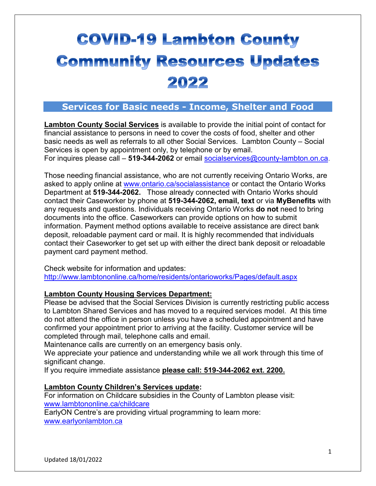# **COVID-19 Lambton County Community Resources Updates** 2022

# **Services for Basic needs - Income, Shelter and Food**

**Lambton County Social Services** is available to provide the initial point of contact for financial assistance to persons in need to cover the costs of food, shelter and other basic needs as well as referrals to all other Social Services. Lambton County – Social Services is open by appointment only, by telephone or by email. For inquires please call – **519-344-2062** or email [socialservices@county-lambton.on.ca.](mailto:socialservices@county-lambton.on.ca)

Those needing financial assistance, who are not currently receiving Ontario Works, are asked to apply online at [www.ontario.ca/socialassistance](http://www.ontario.ca/socialassistance) or contact the Ontario Works Department at **519-344-2062.** Those already connected with Ontario Works should contact their Caseworker by phone at **519-344-2062, email, text** or via **MyBenefits** with any requests and questions. Individuals receiving Ontario Works **do not** need to bring documents into the office. Caseworkers can provide options on how to submit information. Payment method options available to receive assistance are direct bank deposit, reloadable payment card or mail. It is highly recommended that individuals contact their Caseworker to get set up with either the direct bank deposit or reloadable payment card payment method.

Check website for information and updates: <http://www.lambtononline.ca/home/residents/ontarioworks/Pages/default.aspx>

#### **Lambton County Housing Services Department:**

Please be advised that the Social Services Division is currently restricting public access to Lambton Shared Services and has moved to a required services model. At this time do not attend the office in person unless you have a scheduled appointment and have confirmed your appointment prior to arriving at the facility. Customer service will be completed through mail, telephone calls and email.

Maintenance calls are currently on an emergency basis only.

We appreciate your patience and understanding while we all work through this time of significant change.

If you require immediate assistance **please call: 519-344-2062 ext. 2200.**

#### **Lambton County Children's Services update:**

For information on Childcare subsidies in the County of Lambton please visit: [www.lambtononline.ca/childcare](http://www.lambtononline.ca/childcare)

EarlyON Centre's are providing virtual programming to learn more: [www.earlyonlambton.ca](http://www.earlyonlambton.ca/)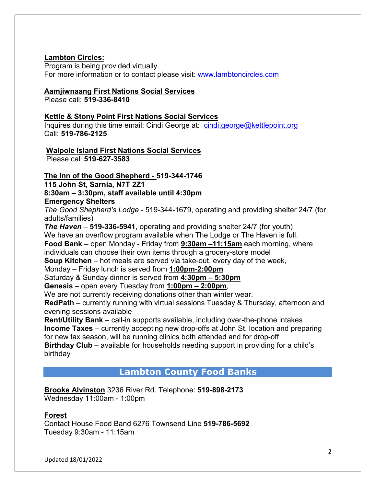#### **Lambton Circles:**

Program is being provided virtually. For more information or to contact please visit: [www.lambtoncircles.com](http://www.lambtoncircles.com/)

#### **Aamjiwnaang First Nations Social Services**

Please call: **519-336-8410**

#### **Kettle & Stony Point First Nations Social Services**

Inquires during this time email: Cindi George at: [cindi.george@kettlepoint.org](mailto:cindi.george@kettlepoint.org) Call: **519-786-2125**

**Walpole Island First Nations Social Services**

Please call **519-627-3583**

#### **The Inn of the Good Shepherd - 519-344-1746**

**115 John St, Sarnia, N7T 2Z1**

#### **8:30am – 3:30pm, staff available until 4:30pm**

#### **Emergency Shelters**

*The Good Shepherd's Lodge* - 519-344-1679, operating and providing shelter 24/7 (for adults/families)

*The Haven* – **519-336-5941**, operating and providing shelter 24/7 (for youth) We have an overflow program available when The Lodge or The Haven is full.

**Food Bank** – open Monday - Friday from **9:30am –11:15am** each morning, where individuals can choose their own items through a grocery-store model

**Soup Kitchen** – hot meals are served via take-out, every day of the week,

Monday – Friday lunch is served from **1:00pm-2:00pm**

Saturday & Sunday dinner is served from **4:30pm – 5:30pm**

**Genesis** – open every Tuesday from **1:00pm – 2:00pm**,

We are not currently receiving donations other than winter wear.

**RedPath** – currently running with virtual sessions Tuesday & Thursday, afternoon and evening sessions available

**Rent/Utility Bank** – call-in supports available, including over-the-phone intakes **Income Taxes** – currently accepting new drop-offs at John St. location and preparing for new tax season, will be running clinics both attended and for drop-off

**Birthday Club** – available for households needing support in providing for a child's birthday

#### **Lambton County Food Banks**

**Brooke Alvinston** 3236 River Rd. Telephone: **519-898-2173** Wednesday 11:00am - 1:00pm

#### **Forest**

Contact House Food Band 6276 Townsend Line **519-786-5692** Tuesday 9:30am - 11:15am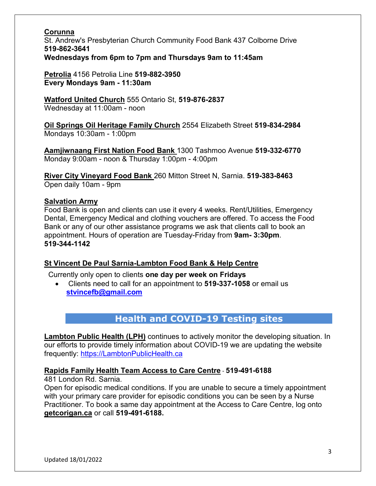#### **Corunna**

St. Andrew's Presbyterian Church Community Food Bank 437 Colborne Drive **519-862-3641 Wednesdays from 6pm to 7pm and Thursdays 9am to 11:45am**

**Petrolia** 4156 Petrolia Line **519-882-3950 Every Mondays 9am - 11:30am** 

**Watford United Church** 555 Ontario St, **519-876-2837** Wednesday at 11:00am - noon

**Oil Springs Oil Heritage Family Church** 2554 Elizabeth Street **519-834-2984** Mondays 10:30am - 1:00pm

**Aamjiwnaang First Nation Food Bank** 1300 Tashmoo Avenue **519-332-6770** Monday 9:00am - noon & Thursday 1:00pm - 4:00pm

**River City Vineyard Food Bank** 260 Mitton Street N, Sarnia. **519-383-8463** Open daily 10am - 9pm

#### **Salvation Army**

Food Bank is open and clients can use it every 4 weeks. Rent/Utilities, Emergency Dental, Emergency Medical and clothing vouchers are offered. To access the Food Bank or any of our other assistance programs we ask that clients call to book an appointment. Hours of operation are Tuesday-Friday from **9am- 3:30pm**. **519-344-1142**

#### **St Vincent De Paul Sarnia-Lambton Food Bank & Help Centre**

Currently only open to clients **one day per week on Fridays**

• Clients need to call for an appointment to **519-337-1058** or email us **[stvincefb@gmail.com](mailto:stvincefb@gmail.com)**

# **Health and COVID-19 Testing sites**

**Lambton Public Health (LPH)** continues to actively monitor the developing situation. In our efforts to provide timely information about COVID-19 we are updating the website frequently: [https://LambtonPublicHealth.ca](https://lambtonpublichealth.ca/)

**Rapids Family Health Team Access to Care Centre** - **519-491-6188**

481 London Rd. Sarnia.

Open for episodic medical conditions. If you are unable to secure a timely appointment with your primary care provider for episodic conditions you can be seen by a Nurse Practitioner. To book a same day appointment at the Access to Care Centre, log onto **getcorigan.ca** or call **519-491-6188.**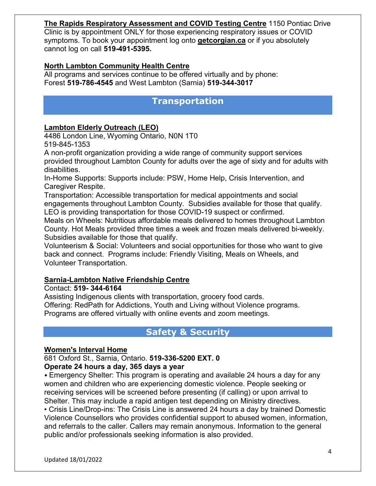#### **The Rapids Respiratory Assessment and COVID Testing Centre** 1150 Pontiac Drive Clinic is by appointment ONLY for those experiencing respiratory issues or COVID symptoms. To book your appointment log onto **getcorgian.ca** or if you absolutely cannot log on call **519-491-5395.**

#### **North Lambton Community Health Centre**

All programs and services continue to be offered virtually and by phone: Forest **519-786-4545** and West Lambton (Sarnia) **519-344-3017** 

### **Transportation**

#### **Lambton Elderly Outreach (LEO)**

4486 London Line, Wyoming Ontario, N0N 1T0 519-845-1353

A non-profit organization providing a wide range of community support services provided throughout Lambton County for adults over the age of sixty and for adults with disabilities.

In-Home Supports: Supports include: PSW, Home Help, Crisis Intervention, and Caregiver Respite.

Transportation: Accessible transportation for medical appointments and social engagements throughout Lambton County. Subsidies available for those that qualify. LEO is providing transportation for those COVID-19 suspect or confirmed.

Meals on Wheels: Nutritious affordable meals delivered to homes throughout Lambton County. Hot Meals provided three times a week and frozen meals delivered bi-weekly. Subsidies available for those that qualify.

Volunteerism & Social: Volunteers and social opportunities for those who want to give back and connect. Programs include: Friendly Visiting, Meals on Wheels, and Volunteer Transportation.

#### **Sarnia-Lambton Native Friendship Centre**

#### Contact: **519- 344-6164**

Assisting Indigenous clients with transportation, grocery food cards. Offering: RedPath for Addictions, Youth and Living without Violence programs. Programs are offered virtually with online events and zoom meetings.

# **Safety & Security**

#### **Women's Interval Home**

681 Oxford St., Sarnia, Ontario. **519-336-5200 EXT. 0**

#### **Operate 24 hours a day, 365 days a year**

• Emergency Shelter: This program is operating and available 24 hours a day for any women and children who are experiencing domestic violence. People seeking or receiving services will be screened before presenting (if calling) or upon arrival to Shelter. This may include a rapid antigen test depending on Ministry directives.

• Crisis Line/Drop-ins: The Crisis Line is answered 24 hours a day by trained Domestic Violence Counsellors who provides confidential support to abused women, information, and referrals to the caller. Callers may remain anonymous. Information to the general public and/or professionals seeking information is also provided.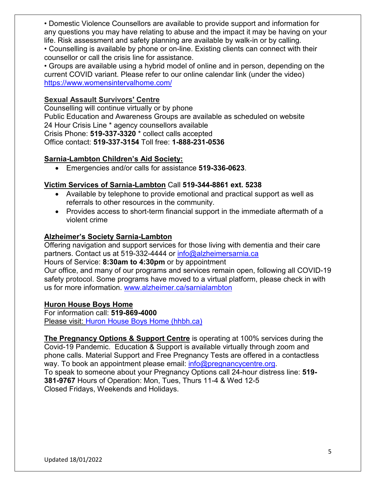• Domestic Violence Counsellors are available to provide support and information for any questions you may have relating to abuse and the impact it may be having on your life. Risk assessment and safety planning are available by walk-in or by calling.

• Counselling is available by phone or on-line. Existing clients can connect with their counsellor or call the crisis line for assistance.

• Groups are available using a hybrid model of online and in person, depending on the current COVID variant. Please refer to our online calendar link (under the video) [https://www.womensintervalhome.com/](https://protect-us.mimecast.com/s/3AZ4COYzL9Sk4kBtEGhih?domain=womensintervalhome.com/)

#### **Sexual Assault Survivors' Centre**

Counselling will continue virtually or by phone Public Education and Awareness Groups are available as scheduled on website 24 Hour Crisis Line \* agency counsellors available Crisis Phone: **519-337-3320** \* collect calls accepted Office contact: **519-337-3154** Toll free: **1-888-231-0536**

#### **Sarnia-Lambton Children's Aid Society:**

• Emergencies and/or calls for assistance **519-336-0623**.

#### **Victim Services of Sarnia-Lambton** Call **519-344-8861 ext. 5238**

- Available by telephone to provide emotional and practical support as well as referrals to other resources in the community.
- Provides access to short-term financial support in the immediate aftermath of a violent crime

#### **Alzheimer's Society Sarnia-Lambton**

Offering navigation and support services for those living with dementia and their care partners. Contact us at 519-332-4444 or [info@alzheimersarnia.ca](mailto:info@alzheimersarnia.ca)

#### Hours of Service: **8:30am to 4:30pm** or by appointment

Our office, and many of our programs and services remain open, following all COVID-19 safety protocol. Some programs have moved to a virtual platform, please check in with us for more information. [www.alzheimer.ca/sarnialambton](https://protect-us.mimecast.com/s/hx9tCL9w0Bc2rE6cq8ToV?domain=alzheimer.ca)

#### **Huron House Boys Home**

For information call: **519-869-4000** Please visit: [Huron House Boys Home \(hhbh.ca\)](https://hhbh.ca/)

**The Pregnancy Options & Support Centre** is operating at 100% services during the Covid-19 Pandemic. Education & Support is available virtually through zoom and phone calls. Material Support and Free Pregnancy Tests are offered in a contactless way. To book an appointment please email: [info@pregnancycentre.org.](mailto:info@pregnancycentre.org) To speak to someone about your Pregnancy Options call 24-hour distress line: **519- 381-9767** Hours of Operation: Mon, Tues, Thurs 11-4 & Wed 12-5 Closed Fridays, Weekends and Holidays.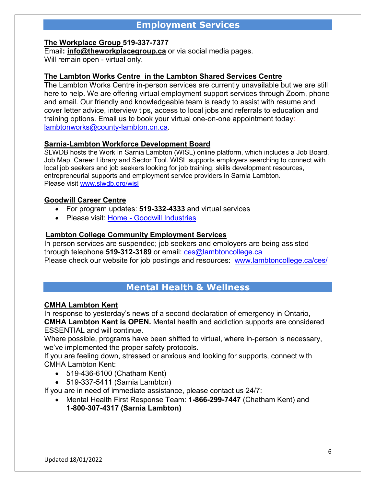# **Employment Services**

#### **The Workplace Group 519-337-7377**

Email**: [info@theworkplacegroup.ca](mailto:info@theworkplacegroup.ca)** or via social media pages. Will remain open - virtual only.

#### **The Lambton Works Centre in the Lambton Shared Services Centre**

The Lambton Works Centre in-person services are currently unavailable but we are still here to help. We are offering virtual employment support services through Zoom, phone and email. Our friendly and knowledgeable team is ready to assist with resume and cover letter advice, interview tips, access to local jobs and referrals to education and training options. [Email us](javascript:emailContactV2() to book your virtual one-on-one appointment today: [lambtonworks@county-lambton.on.ca.](mailto:lambtonworks@county-lambton.on.ca)

#### **Sarnia-Lambton Workforce Development Board**

SLWDB hosts the Work In Sarnia Lambton (WISL) online platform, which includes a Job Board, Job Map, Career Library and Sector Tool. WISL supports employers searching to connect with local job seekers and job seekers looking for job training, skills development resources, entrepreneurial supports and employment service providers in Sarnia Lambton. Please visit [www.slwdb.org/wisl](https://protect-us.mimecast.com/s/S75hCQWBjLIL8OPTPHnoI?domain=slwdb.org)

#### **Goodwill Career Centre**

- For program updates: **519-332-4333** and virtual services
- Please visit: Home [Goodwill Industries](https://goodwillindustries.ca/)

#### **Lambton College Community Employment Services**

In person services are suspended; job seekers and employers are being assisted through telephone **519-312-3189** or email: [ces@lambtoncollege.ca](mailto:ces@lambtoncollege.ca) Please check our website for job postings and resources: [www.lambtoncollege.ca/ces/](http://www.lambtoncollege.ca/ces/)

#### **Mental Health & Wellness**

#### **CMHA Lambton Kent**

In response to yesterday's news of a second declaration of emergency in Ontario,

**CMHA Lambton Kent is OPEN.** Mental health and addiction supports are considered ESSENTIAL and will continue.

Where possible, programs have been shifted to virtual, where in-person is necessary, we've implemented the proper safety protocols.

If you are feeling down, stressed or anxious and looking for supports, connect with CMHA Lambton Kent:

- 519-436-6100 (Chatham Kent)
- 519-337-5411 (Sarnia Lambton)

If you are in need of immediate assistance, please contact us 24/7:

• Mental Health First Response Team: **1-866-299-7447** (Chatham Kent) and **1-800-307-4317 (Sarnia Lambton)**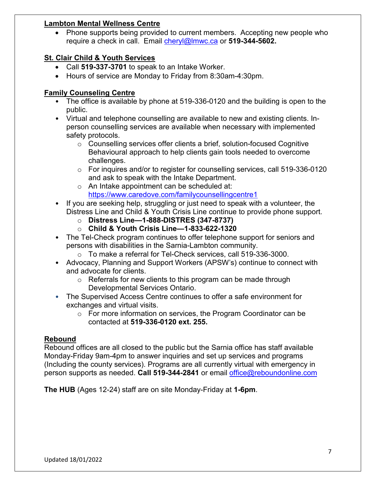#### **Lambton Mental Wellness Centre**

• Phone supports being provided to current members. Accepting new people who require a check in call. Email [cheryl@lmwc.ca](mailto:cheryl@lmwc.ca) or **519-344-5602.**

#### **St. Clair Child & Youth Services**

- Call **519-337-3701** to speak to an Intake Worker.
- Hours of service are Monday to Friday from 8:30am-4:30pm.

#### **Family Counseling Centre**

- The office is available by phone at 519-336-0120 and the building is open to the public.
- Virtual and telephone counselling are available to new and existing clients. Inperson counselling services are available when necessary with implemented safety protocols.
	- o Counselling services offer clients a brief, solution-focused Cognitive Behavioural approach to help clients gain tools needed to overcome challenges.
	- o For inquires and/or to register for counselling services, call 519-336-0120 and ask to speak with the Intake Department.
	- o An Intake appointment can be scheduled at: [https://www.caredove.com/familycounsellingcentre1](https://protect-us.mimecast.com/s/0poRCo2k8JUmx4Xu1V_w0?domain=caredove.com)
- If you are seeking help, struggling or just need to speak with a volunteer, the Distress Line and Child & Youth Crisis Line continue to provide phone support.
	- o **Distress Line—1-888-DISTRES (347-8737)**
	- o **Child & Youth Crisis Line—1-833-622-1320**
- The Tel-Check program continues to offer telephone support for seniors and persons with disabilities in the Sarnia-Lambton community.
	- o To make a referral for Tel-Check services, call 519-336-3000.
- Advocacy, Planning and Support Workers (APSW's) continue to connect with and advocate for clients.
	- $\circ$  Referrals for new clients to this program can be made through Developmental Services Ontario.
- The Supervised Access Centre continues to offer a safe environment for exchanges and virtual visits.
	- o For more information on services, the Program Coordinator can be contacted at **519-336-0120 ext. 255.**

#### **Rebound**

Rebound offices are all closed to the public but the Sarnia office has staff available Monday-Friday 9am-4pm to answer inquiries and set up services and programs (Including the county services). Programs are all currently virtual with emergency in person supports as needed. **Call 519-344-2841** or email [office@reboundonline.com](mailto:office@reboundonline.com)

**The HUB** (Ages 12-24) staff are on site Monday-Friday at **1-6pm**.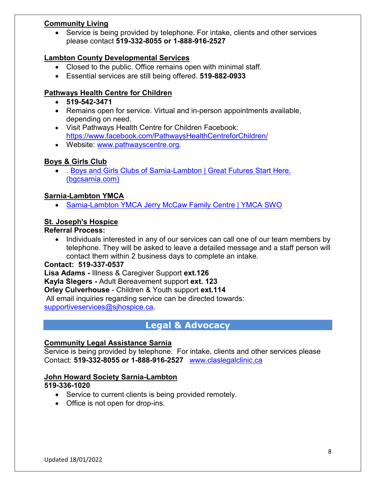#### **Community Living**

• Service is being provided by telephone. For intake, clients and other services please contact **519-332-8055 or 1-888-916-2527**

#### **Lambton County Developmental Services**

- Closed to the public. Office remains open with minimal staff.
- Essential services are still being offered. **519-882-0933**

#### **Pathways Health Centre for Children**

- **519-542-3471**
- Remains open for service. Virtual and in-person appointments available, depending on need.
- Visit Pathways Health Centre for Children Facebook: [https://www.facebook.com/PathwaysHealthCentreforChildren/](https://protect-us.mimecast.com/s/mBFGCpYlBVSz8NksP7Nn6?domain=facebook.com/)
- Website: [www.pathwayscentre.org](https://protect-us.mimecast.com/s/xD5lCrknB7cAv0Mi47zW_?domain=pathwayscentre.org).

#### **Boys & Girls Club**

• . [Boys and Girls Clubs of Sarnia-Lambton | Great Futures Start Here.](https://www.bgcsarnia.com/)  [\(bgcsarnia.com\)](https://www.bgcsarnia.com/)

#### **Sarnia-Lambton YMCA**

• [Sarnia-Lambton YMCA Jerry McCaw Family Centre | YMCA SWO](https://www.ymcaswo.ca/locations/sarnia-lambton-ymca-jerry-mccaw-family-centre)

#### **St. Joseph's Hospice**

#### **Referral Process:**

• Individuals interested in any of our services can call one of our team members by telephone. They will be asked to leave a detailed message and a staff person will contact them within 2 business days to complete an intake.

#### **Contact: 519-337-0537**

**Lisa Adams -** Illness & Caregiver Support **ext.126 Kayla Slegers -** Adult Bereavement support **ext. 123 Orley Culverhouse** - Children & Youth support **ext.114** All email inquiries regarding service can be directed towards:

[supportiveservices@sjhospice.ca.](mailto:supportiveservices@sjhospice.ca)

# **Legal & Advocacy**

#### **Community Legal Assistance Sarnia**

Service is being provided by telephone. For intake, clients and other services please Contact: **519-332-8055 or 1-888-916-2527** [www.claslegalclinic.ca](http://www.claslegalclinic.ca/)

#### **John Howard Society Sarnia-Lambton**

#### **519-336-1020**

- Service to current clients is being provided remotely.
- Office is not open for drop-ins.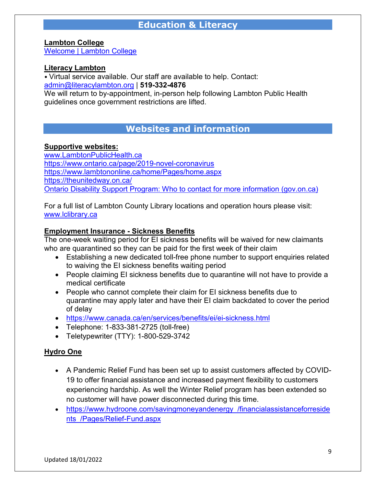# **Education & Literacy**

**Lambton College**

[Welcome | Lambton College](https://www.lambtoncollege.ca/)

#### **Literacy Lambton**

• Virtual service available. Our staff are available to help. Contact: [admin@literacylambton.org](mailto:admin@literacylambton.org) | **519-332-4876**

We will return to by-appointment, in-person help following Lambton Public Health guidelines once government restrictions are lifted.

# **Websites and information**

#### **Supportive websites:**

[www.LambtonPublicHealth.ca](http://www.lambtonpublichealth.ca/) <https://www.ontario.ca/page/2019-novel-coronavirus> <https://www.lambtononline.ca/home/Pages/home.aspx> <https://theunitedway.on.ca/> [Ontario Disability Support Program: Who to contact for more information \(gov.on.ca\)](https://www.mcss.gov.on.ca/en/mcss/programs/social/odsp/contacts/index.aspx)

For a full list of Lambton County Library locations and operation hours please visit: [www.lclibrary.ca](http://www.lclibrary.ca/)

#### **Employment Insurance - Sickness Benefits**

The one-week waiting period for EI sickness benefits will be waived for new claimants who are quarantined so they can be paid for the first week of their claim

- Establishing a new dedicated toll-free phone number to support enquiries related to waiving the EI sickness benefits waiting period
- People claiming EI sickness benefits due to quarantine will not have to provide a medical certificate
- People who cannot complete their claim for EI sickness benefits due to quarantine may apply later and have their EI claim backdated to cover the period of delay
- <https://www.canada.ca/en/services/benefits/ei/ei-sickness.html>
- Telephone: 1-833-381-2725 (toll-free)
- Teletypewriter (TTY): 1-800-529-3742

#### **Hydro One**

- A Pandemic Relief Fund has been set up to assist customers affected by COVID-19 to offer financial assistance and increased payment flexibility to customers experiencing hardship. As well the Winter Relief program has been extended so no customer will have power disconnected during this time.
- [https://www.hydroone.com/savingmoneyandenergy\\_/financialassistanceforreside](https://www.hydroone.com/savingmoneyandenergy_/financialassistanceforresidents_/Pages/Relief-Fund.aspx) [nts\\_/Pages/Relief-Fund.aspx](https://www.hydroone.com/savingmoneyandenergy_/financialassistanceforresidents_/Pages/Relief-Fund.aspx)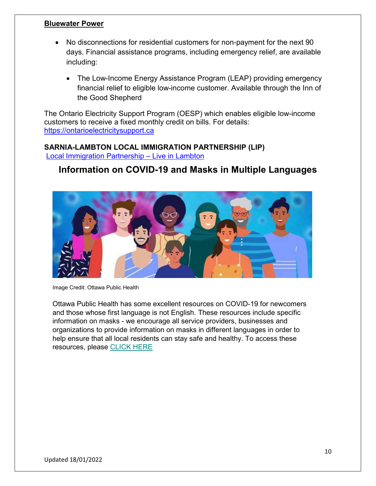#### **Bluewater Power**

- No disconnections for residential customers for non-payment for the next 90 days. Financial assistance programs, including emergency relief, are available including:
	- The Low-Income Energy Assistance Program (LEAP) providing emergency financial relief to eligible low-income customer. Available through the Inn of the Good Shepherd

The Ontario Electricity Support Program (OESP) which enables eligible low-income customers to receive a fixed monthly credit on bills. For details: [https://ontarioelectricitysupport.ca](https://ontarioelectricitysupport.ca/)

#### **SARNIA-LAMBTON LOCAL IMMIGRATION PARTNERSHIP (LIP)** [Local Immigration Partnership –](https://www.liveinlambton.ca/local-immigration-partnership/) Live in Lambton

# **Information on COVID-19 and Masks in Multiple Languages**



Image Credit: Ottawa Public Health

Ottawa Public Health has some excellent resources on COVID-19 for newcomers and those whose first language is not English. These resources include specific information on masks - we encourage all service providers, businesses and organizations to provide information on masks in different languages in order to help ensure that all local residents can stay safe and healthy. To access these resources, please [CLICK HERE](https://www.ottawapublichealth.ca/en/public-health-topics/multilingual-resources.aspx%C2%A0)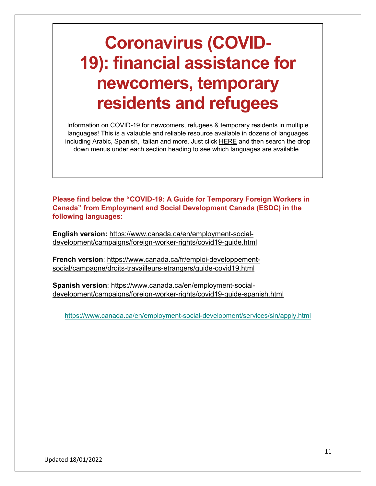# **Coronavirus (COVID-19): financial assistance for newcomers, temporary residents and refugees**

Information on COVID-19 for newcomers, refugees & temporary residents in multiple languages! This is a valauble and reliable resource available in dozens of languages including Arabic, Spanish, Italian and more. Just click [HERE](https://www.canada.ca/en/immigration-refugees-citizenship/services/coronavirus-covid19/financial-assistance.html?fbclid=IwAR0poIdB-2vMK8v_0eYIjynDvXpjFDklcQo1ZypWWPGUkB0jOgUu2SidwtE) and then search the drop down menus under each section heading to see which languages are available.

**Please find below the "COVID-19: A Guide for Temporary Foreign Workers in Canada" from Employment and Social Development Canada (ESDC) in the following languages:**

**English version:** [https://www.canada.ca/en/employment-social](https://www.canada.ca/en/employment-social-development/campaigns/foreign-worker-rights/covid19-guide.html)[development/campaigns/foreign-worker-rights/covid19-guide.html](https://www.canada.ca/en/employment-social-development/campaigns/foreign-worker-rights/covid19-guide.html)

**French version**: [https://www.canada.ca/fr/emploi-developpement](https://www.canada.ca/fr/emploi-developpement-social/campagne/droits-travailleurs-etrangers/guide-covid19.html)[social/campagne/droits-travailleurs-etrangers/guide-covid19.html](https://www.canada.ca/fr/emploi-developpement-social/campagne/droits-travailleurs-etrangers/guide-covid19.html)

**Spanish version**: [https://www.canada.ca/en/employment-social](https://www.canada.ca/en/employment-social-development/campaigns/foreign-worker-rights/covid19-guide-spanish.html)[development/campaigns/foreign-worker-rights/covid19-guide-spanish.html](https://www.canada.ca/en/employment-social-development/campaigns/foreign-worker-rights/covid19-guide-spanish.html)

<https://www.canada.ca/en/employment-social-development/services/sin/apply.html>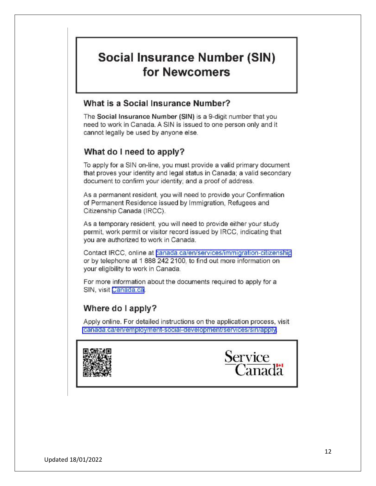# **Social Insurance Number (SIN)** for Newcomers

#### What is a Social Insurance Number?

The Social Insurance Number (SIN) is a 9-digit number that you need to work in Canada. A SIN is issued to one person only and it cannot legally be used by anyone else.

### What do I need to apply?

To apply for a SIN on-line, you must provide a valid primary document that proves your identity and legal status in Canada; a valid secondary document to confirm your identity; and a proof of address.

As a permanent resident, you will need to provide your Confirmation of Permanent Residence issued by Immigration, Refugees and Citizenship Canada (IRCC).

As a temporary resident, you will need to provide either your study permit, work permit or visitor record issued by IRCC, indicating that you are authorized to work in Canada.

Contact IRCC, online at **panada.ca/en/services/immigration-citizenship** or by telephone at 1 888 242 2100, to find out more information on your eligibility to work in Canada.

For more information about the documents required to apply for a SIN, visit Canada.ca.

#### Where do I apply?

Apply online. For detailed instructions on the application process, visit canada.ca/en/employment-social-development/services/sin/apply



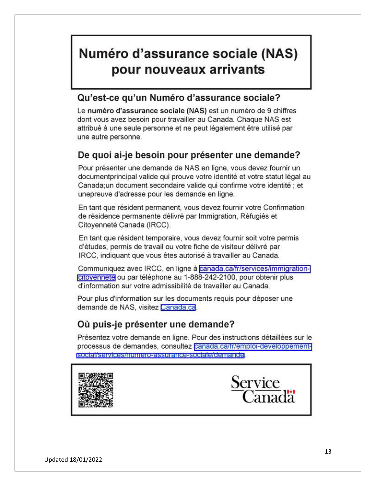# Numéro d'assurance sociale (NAS) pour nouveaux arrivants

# Qu'est-ce qu'un Numéro d'assurance sociale?

Le numéro d'assurance sociale (NAS) est un numéro de 9 chiffres dont vous avez besoin pour travailler au Canada. Chaque NAS est attribué à une seule personne et ne peut légalement être utilisé par une autre personne.

# De quoi ai-je besoin pour présenter une demande?

Pour présenter une demande de NAS en ligne, vous devez fournir un documentprincipal valide qui prouve votre identité et votre statut légal au Canada;un document secondaire valide qui confirme votre identité ; et unepreuve d'adresse pour les demande en ligne.

En tant que résident permanent, vous devez fournir votre Confirmation de résidence permanente délivré par Immigration, Réfugiés et Citoyenneté Canada (IRCC).

En tant que résident temporaire, vous devez fournir soit votre permis d'études, permis de travail ou votre fiche de visiteur délivré par IRCC, indiquant que vous êtes autorisé à travailler au Canada.

Communiquez avec IRCC, en ligne à canada.ca/fr/services/immigrationcitoyennete ou par téléphone au 1-888-242-2100, pour obtenir plus d'information sur votre admissibilité de travailler au Canada.

Pour plus d'information sur les documents requis pour déposer une demande de NAS, visitez Canada.ca.

# Où puis-je présenter une demande?

Présentez votre demande en ligne. Pour des instructions détaillées sur le processus de demandes, consultez canada.ca/tr/emploi-developpementsocial/services/numero-assurance-sociale/demande.